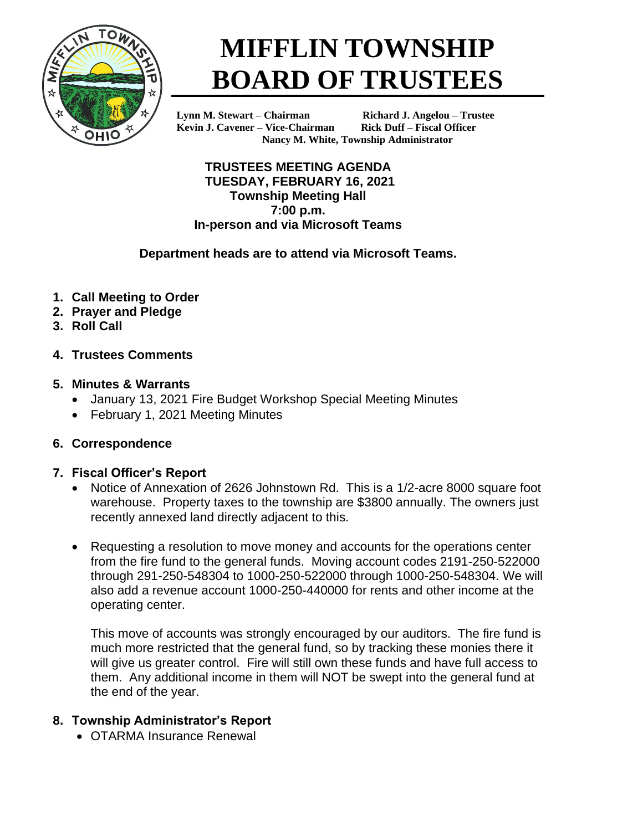

# **MIFFLIN TOWNSHIP BOARD OF TRUSTEES**

**Kevin J. Cavener – Vice-Chairman Rick Duff – Fiscal Officer**

**Lynn M. Stewart – Chairman Richard J. Angelou – Trustee Nancy M. White, Township Administrator**

**TRUSTEES MEETING AGENDA TUESDAY, FEBRUARY 16, 2021 Township Meeting Hall 7:00 p.m. In-person and via Microsoft Teams**

## **Department heads are to attend via Microsoft Teams.**

- **1. Call Meeting to Order**
- **2. Prayer and Pledge**
- **3. Roll Call**
- **4. Trustees Comments**

## **5. Minutes & Warrants**

- January 13, 2021 Fire Budget Workshop Special Meeting Minutes
- February 1, 2021 Meeting Minutes

## **6. Correspondence**

## **7. Fiscal Officer's Report**

- Notice of Annexation of 2626 Johnstown Rd. This is a 1/2-acre 8000 square foot warehouse. Property taxes to the township are \$3800 annually. The owners just recently annexed land directly adjacent to this.
- Requesting a resolution to move money and accounts for the operations center from the fire fund to the general funds. Moving account codes 2191-250-522000 through 291-250-548304 to 1000-250-522000 through 1000-250-548304. We will also add a revenue account 1000-250-440000 for rents and other income at the operating center.

This move of accounts was strongly encouraged by our auditors. The fire fund is much more restricted that the general fund, so by tracking these monies there it will give us greater control. Fire will still own these funds and have full access to them. Any additional income in them will NOT be swept into the general fund at the end of the year.

## **8. Township Administrator's Report**

• OTARMA Insurance Renewal